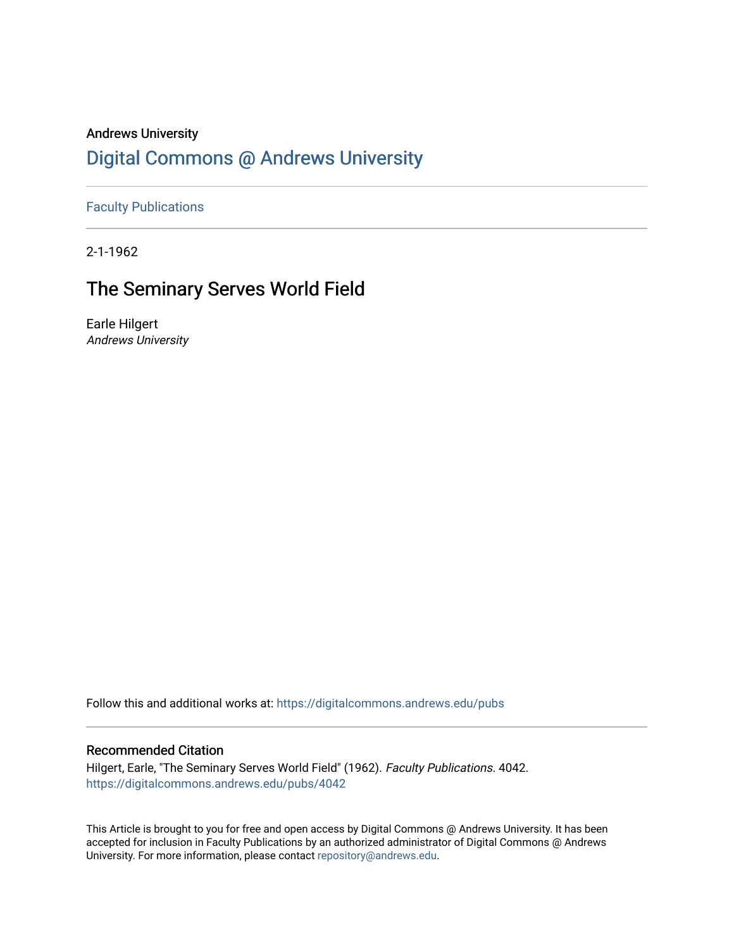### Andrews University [Digital Commons @ Andrews University](https://digitalcommons.andrews.edu/)

[Faculty Publications](https://digitalcommons.andrews.edu/pubs)

2-1-1962

## The Seminary Serves World Field

Earle Hilgert Andrews University

Follow this and additional works at: [https://digitalcommons.andrews.edu/pubs](https://digitalcommons.andrews.edu/pubs?utm_source=digitalcommons.andrews.edu%2Fpubs%2F4042&utm_medium=PDF&utm_campaign=PDFCoverPages) 

#### Recommended Citation

Hilgert, Earle, "The Seminary Serves World Field" (1962). Faculty Publications. 4042. [https://digitalcommons.andrews.edu/pubs/4042](https://digitalcommons.andrews.edu/pubs/4042?utm_source=digitalcommons.andrews.edu%2Fpubs%2F4042&utm_medium=PDF&utm_campaign=PDFCoverPages) 

This Article is brought to you for free and open access by Digital Commons @ Andrews University. It has been accepted for inclusion in Faculty Publications by an authorized administrator of Digital Commons @ Andrews University. For more information, please contact [repository@andrews.edu](mailto:repository@andrews.edu).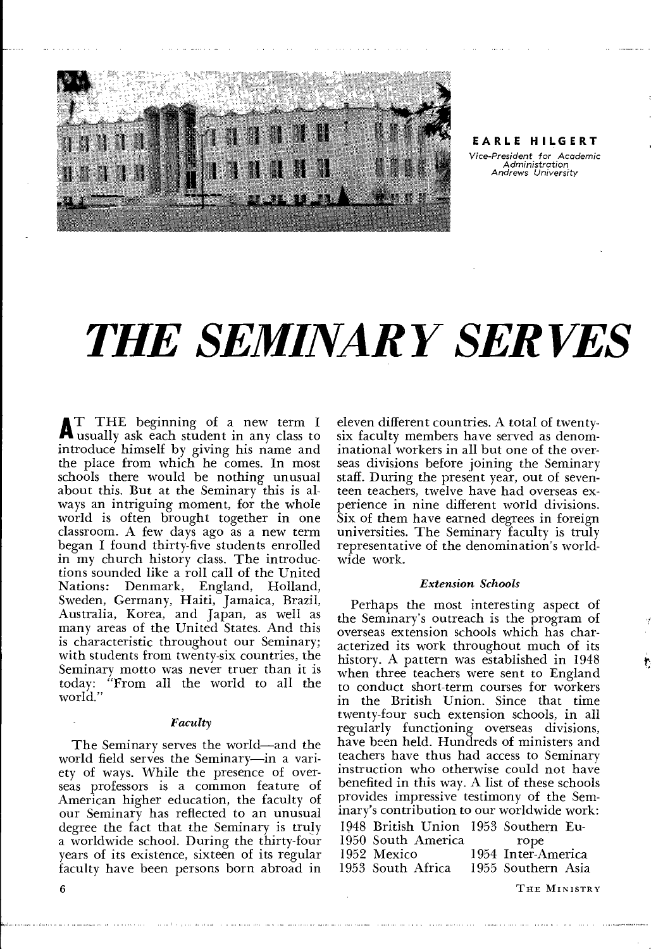

**EARLE HILGERT**  *Vice-President for Academic* 

*Administration Andrews University* 

## *THE SEMINARY SERVES*

<sup>A</sup>T THE beginning of a new term I usually ask each student in any class to introduce himself by giving his name and the place from which he comes. In most schools there would be nothing unusual about this. But at the Seminary this is always an intriguing moment, for the whole world is often brought together in one classroom. A few days ago as a new term began I found thirty-five students enrolled in my church history class. The introductions sounded like a roll call of the United Denmark, England, Holland, Sweden, Germany, Haiti, Jamaica, Brazil, Australia, Korea, and Japan, as well as many areas of the United States. And this is characteristic throughout our Seminary; with students from twenty-six countries, the Seminary motto was never truer than it is today: "From all the world to all the world."

#### *Faculty*

The Seminary serves the world—and the world field serves the Seminary—in a variety of ways. While the presence of overseas professors is a common feature of American higher education, the faculty of our Seminary has reflected to an unusual degree the fact that the Seminary is truly a worldwide school. During the thirty-four years of its existence, sixteen of its regular faculty have been persons born abroad in eleven different countries. A total of twentysix faculty members have served as denominational workers in all but one of the overseas divisions before joining the Seminary staff. During the present year, out of seventeen teachers, twelve have had overseas experience in nine different world divisions. Six of them have earned degrees in foreign universities. The Seminary faculty is truly representative of the denomination's worldwide work.

#### *Extension Schools*

Perhaps the most interesting aspect of the Seminary's outreach is the program of overseas extension schools which has characterized its work throughout much of its history. A pattern was established in 1948 when three teachers were sent to England to conduct short-term courses for workers in the British Union. Since that time twenty-four such extension schools, in all regularly functioning overseas divisions, have been held. Hundreds of ministers and teachers have thus had access to Seminary instruction who otherwise could not have benefited in this way. A list of these schools provides impressive testimony of the Seminary's contribution to our worldwide work: 1948 British Union 1953 Southern Eu-1950 South America<br>1952 Mexico 1952 Mexico 1954 Inter-America<br>1953 South Africa 1955 Southern Asia 1955 Southern Asia

THE MINISTRY

6